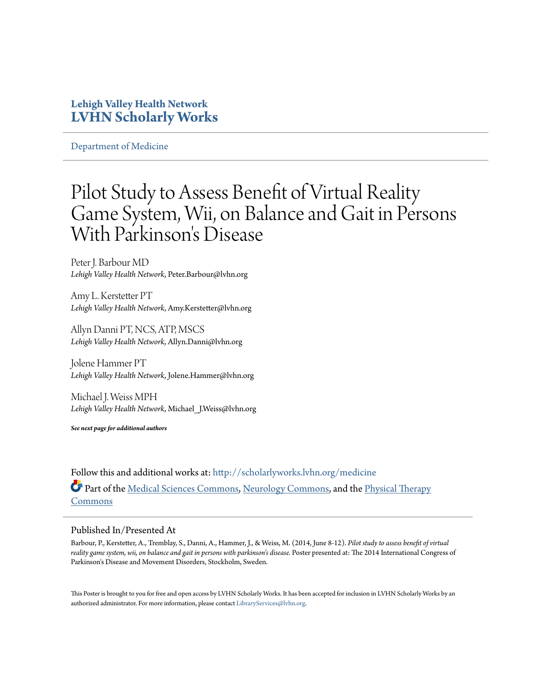## **Lehigh Valley Health Network [LVHN Scholarly Works](http://scholarlyworks.lvhn.org?utm_source=scholarlyworks.lvhn.org%2Fmedicine%2F445&utm_medium=PDF&utm_campaign=PDFCoverPages)**

[Department of Medicine](http://scholarlyworks.lvhn.org/medicine?utm_source=scholarlyworks.lvhn.org%2Fmedicine%2F445&utm_medium=PDF&utm_campaign=PDFCoverPages)

## Pilot Study to Assess Benefit of Virtual Reality Game System, Wii, on Balance and Gait in Persons With Parkinson's Disease

Peter J. Barbour MD *Lehigh Valley Health Network*, Peter.Barbour@lvhn.org

Amy L. Kerstetter PT *Lehigh Valley Health Network*, Amy.Kerstetter@lvhn.org

Allyn Danni PT, NCS, ATP, MSCS *Lehigh Valley Health Network*, Allyn.Danni@lvhn.org

Jolene Hammer PT *Lehigh Valley Health Network*, Jolene.Hammer@lvhn.org

Michael J. Weiss MPH *Lehigh Valley Health Network*, Michael\_J.Weiss@lvhn.org

*See next page for additional authors*

Follow this and additional works at: [http://scholarlyworks.lvhn.org/medicine](http://scholarlyworks.lvhn.org/medicine?utm_source=scholarlyworks.lvhn.org%2Fmedicine%2F445&utm_medium=PDF&utm_campaign=PDFCoverPages) Part of the [Medical Sciences Commons,](http://network.bepress.com/hgg/discipline/664?utm_source=scholarlyworks.lvhn.org%2Fmedicine%2F445&utm_medium=PDF&utm_campaign=PDFCoverPages) [Neurology Commons,](http://network.bepress.com/hgg/discipline/692?utm_source=scholarlyworks.lvhn.org%2Fmedicine%2F445&utm_medium=PDF&utm_campaign=PDFCoverPages) and the [Physical Therapy](http://network.bepress.com/hgg/discipline/754?utm_source=scholarlyworks.lvhn.org%2Fmedicine%2F445&utm_medium=PDF&utm_campaign=PDFCoverPages) [Commons](http://network.bepress.com/hgg/discipline/754?utm_source=scholarlyworks.lvhn.org%2Fmedicine%2F445&utm_medium=PDF&utm_campaign=PDFCoverPages)

## Published In/Presented At

Barbour, P., Kerstetter, A., Tremblay, S., Danni, A., Hammer, J., & Weiss, M. (2014, June 8-12). *Pilot study to assess benefit of virtual reality game system, wii, on balance and gait in persons with parkinson's disease.* Poster presented at: The 2014 International Congress of Parkinson's Disease and Movement Disorders, Stockholm, Sweden.

This Poster is brought to you for free and open access by LVHN Scholarly Works. It has been accepted for inclusion in LVHN Scholarly Works by an authorized administrator. For more information, please contact [LibraryServices@lvhn.org.](mailto:LibraryServices@lvhn.org)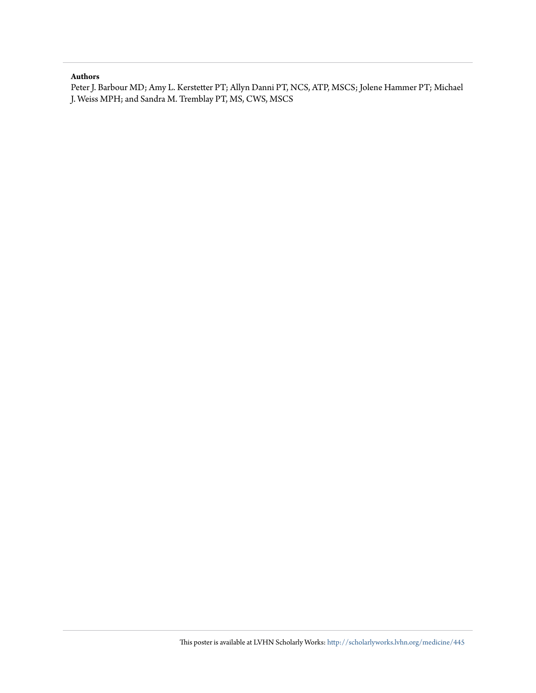## **Authors**

Peter J. Barbour MD; Amy L. Kerstetter PT; Allyn Danni PT, NCS, ATP, MSCS; Jolene Hammer PT; Michael J. Weiss MPH; and Sandra M. Tremblay PT, MS, CWS, MSCS